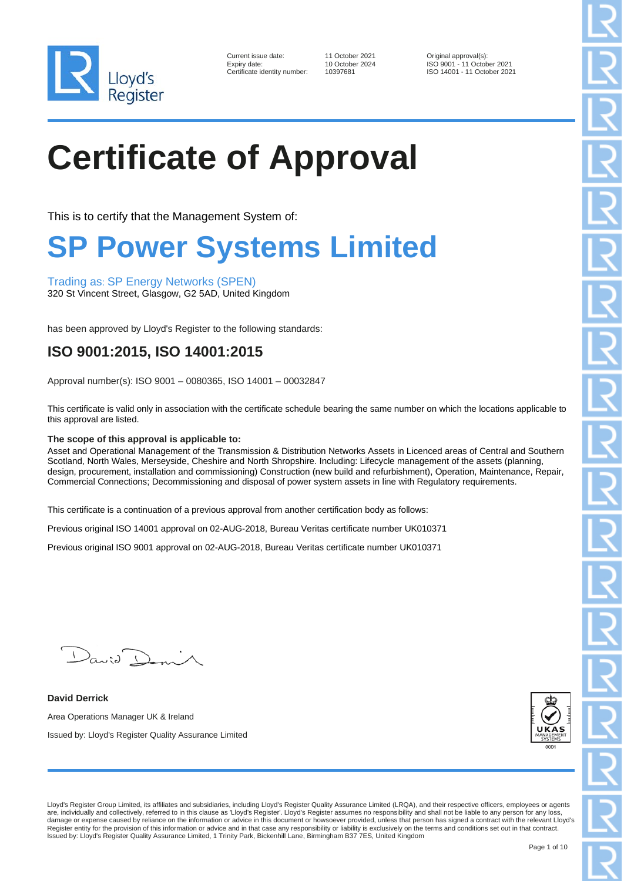

| Current issue date:        |
|----------------------------|
| Expiry date:               |
| Certificate identity numbe |

11 October 2021 **Current Current Current Current issues**<br>10 October 2024 **ISO 9001 - 11 Octob** 10 October 2024 ISO 9001 - 11 October 2021<br>10397681 ISO 14001 - 11 October 202 Pr: 10397681 ISO 14001 - 11 October 2021

## **Certificate of Approval**

This is to certify that the Management System of:

### **SP Power Systems Limited**

Trading as: SP Energy Networks (SPEN)

320 St Vincent Street, Glasgow, G2 5AD, United Kingdom

has been approved by Lloyd's Register to the following standards:

#### **ISO 9001:2015, ISO 14001:2015**

Approval number(s): ISO 9001 – 0080365, ISO 14001 – 00032847

This certificate is valid only in association with the certificate schedule bearing the same number on which the locations applicable to this approval are listed.

#### **The scope of this approval is applicable to:**

Asset and Operational Management of the Transmission & Distribution Networks Assets in Licenced areas of Central and Southern Scotland, North Wales, Merseyside, Cheshire and North Shropshire. Including: Lifecycle management of the assets (planning, design, procurement, installation and commissioning) Construction (new build and refurbishment), Operation, Maintenance, Repair, Commercial Connections; Decommissioning and disposal of power system assets in line with Regulatory requirements.

This certificate is a continuation of a previous approval from another certification body as follows:

Previous original ISO 14001 approval on 02-AUG-2018, Bureau Veritas certificate number UK010371

Previous original ISO 9001 approval on 02-AUG-2018, Bureau Veritas certificate number UK010371

David Don

**David Derrick** Area Operations Manager UK & Ireland Issued by: Lloyd's Register Quality Assurance Limited



Lloyd's Register Group Limited, its affiliates and subsidiaries, including Lloyd's Register Quality Assurance Limited (LRQA), and their respective officers, employees or agents are, individually and collectively, referred to in this clause as 'Lloyd's Register'. Lloyd's Register assumes no responsibility and shall not be liable to any person for any loss, damage or expense caused by reliance on the information or advice in this document or howsoever provided, unless that person has signed a contract with the relevant Lloyd's<br>Register entity for the provision of this informa Issued by: Lloyd's Register Quality Assurance Limited, 1 Trinity Park, Bickenhill Lane, Birmingham B37 7ES, United Kingdom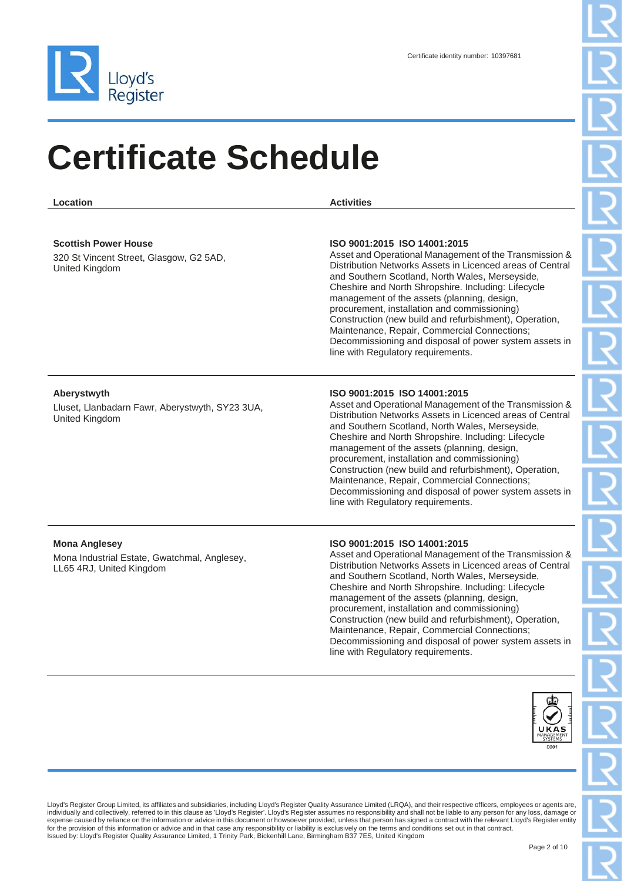

**Location Activities**

#### **Scottish Power House**

320 St Vincent Street, Glasgow, G2 5AD, United Kingdom

#### **ISO 9001:2015 ISO 14001:2015**

Asset and Operational Management of the Transmission & Distribution Networks Assets in Licenced areas of Central and Southern Scotland, North Wales, Merseyside, Cheshire and North Shropshire. Including: Lifecycle management of the assets (planning, design, procurement, installation and commissioning) Construction (new build and refurbishment), Operation, Maintenance, Repair, Commercial Connections; Decommissioning and disposal of power system assets in line with Regulatory requirements.

#### **Aberystwyth**

Lluset, Llanbadarn Fawr, Aberystwyth, SY23 3UA, United Kingdom

#### **ISO 9001:2015 ISO 14001:2015**

Asset and Operational Management of the Transmission & Distribution Networks Assets in Licenced areas of Central and Southern Scotland, North Wales, Merseyside, Cheshire and North Shropshire. Including: Lifecycle management of the assets (planning, design, procurement, installation and commissioning) Construction (new build and refurbishment), Operation, Maintenance, Repair, Commercial Connections; Decommissioning and disposal of power system assets in line with Regulatory requirements.

#### **Mona Anglesey**

Mona Industrial Estate, Gwatchmal, Anglesey, LL65 4RJ, United Kingdom

#### **ISO 9001:2015 ISO 14001:2015**

Asset and Operational Management of the Transmission & Distribution Networks Assets in Licenced areas of Central and Southern Scotland, North Wales, Merseyside, Cheshire and North Shropshire. Including: Lifecycle management of the assets (planning, design, procurement, installation and commissioning) Construction (new build and refurbishment), Operation, Maintenance, Repair, Commercial Connections; Decommissioning and disposal of power system assets in line with Regulatory requirements.



Lloyd's Register Group Limited, its affiliates and subsidiaries, including Lloyd's Register Quality Assurance Limited (LRQA), and their respective officers, employees or agents are, individually and collectively, referred to in this clause as 'Lloyd's Register'. Lloyd's Register assumes no responsibility and shall not be liable to any person for any loss, damage or expense caused by reliance on the information or advice in this document or howsoever provided, unless that person has signed a contract with the relevant Lloyd's Register entity<br>for the provision of this information or ad Issued by: Lloyd's Register Quality Assurance Limited, 1 Trinity Park, Bickenhill Lane, Birmingham B37 7ES, United Kingdom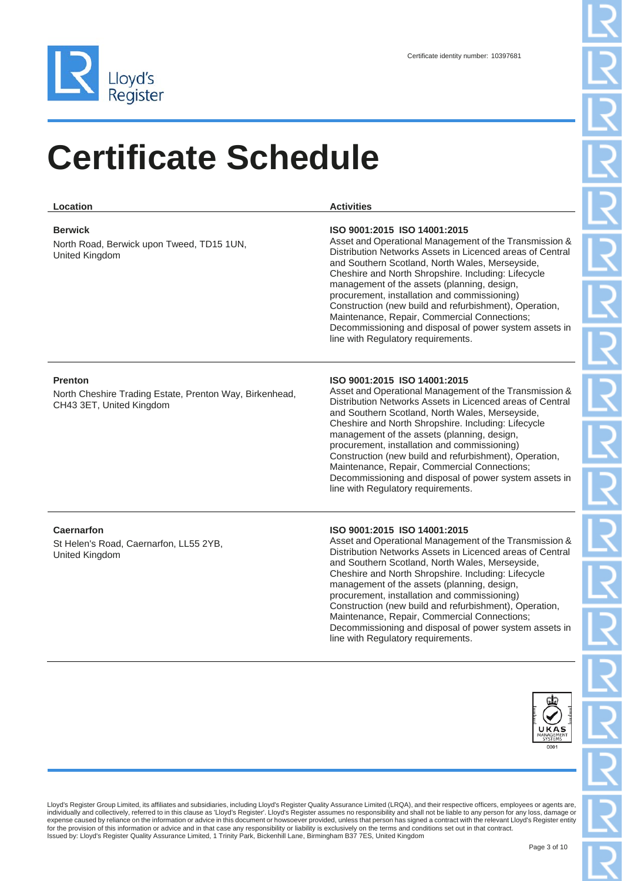

| Location                                                                                              | <b>Activities</b>                                                                                                                                                                                                                                                                                                                                                                                                                                                                                                                                                      |
|-------------------------------------------------------------------------------------------------------|------------------------------------------------------------------------------------------------------------------------------------------------------------------------------------------------------------------------------------------------------------------------------------------------------------------------------------------------------------------------------------------------------------------------------------------------------------------------------------------------------------------------------------------------------------------------|
| <b>Berwick</b><br>North Road, Berwick upon Tweed, TD15 1UN,<br>United Kingdom                         | ISO 9001:2015 ISO 14001:2015<br>Asset and Operational Management of the Transmission &<br>Distribution Networks Assets in Licenced areas of Central<br>and Southern Scotland, North Wales, Merseyside,<br>Cheshire and North Shropshire. Including: Lifecycle<br>management of the assets (planning, design,<br>procurement, installation and commissioning)<br>Construction (new build and refurbishment), Operation,<br>Maintenance, Repair, Commercial Connections;<br>Decommissioning and disposal of power system assets in<br>line with Regulatory requirements. |
| <b>Prenton</b><br>North Cheshire Trading Estate, Prenton Way, Birkenhead,<br>CH43 3ET, United Kingdom | ISO 9001:2015 ISO 14001:2015<br>Asset and Operational Management of the Transmission &<br>Distribution Networks Assets in Licenced areas of Central<br>and Southern Scotland, North Wales, Merseyside,<br>Cheshire and North Shropshire. Including: Lifecycle<br>management of the assets (planning, design,<br>procurement, installation and commissioning)<br>Construction (new build and refurbishment), Operation,<br>Maintenance, Repair, Commercial Connections;<br>Decommissioning and disposal of power system assets in<br>line with Regulatory requirements. |
| Caernarfon<br>St Helen's Road, Caernarfon, LL55 2YB,<br>United Kingdom                                | ISO 9001:2015 ISO 14001:2015<br>Asset and Operational Management of the Transmission &<br>Distribution Networks Assets in Licenced areas of Central<br>and Southern Scotland, North Wales, Merseyside,<br>Cheshire and North Shropshire. Including: Lifecycle<br>management of the assets (planning, design,<br>procurement, installation and commissioning)                                                                                                                                                                                                           |

Construction (new build and refurbishment), Operation, Maintenance, Repair, Commercial Connections; Decommissioning and disposal of power system assets in line with Regulatory requirements.

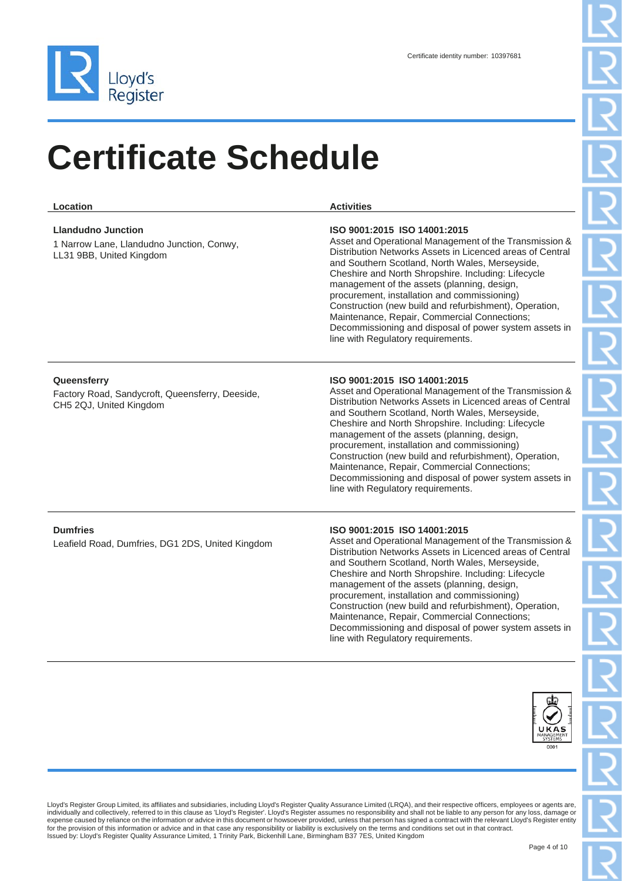

| Location                                                                                           | <b>Activities</b>                                                                                                                                                                                                                                                                                                                                                                                                                                                                                                                                                      |
|----------------------------------------------------------------------------------------------------|------------------------------------------------------------------------------------------------------------------------------------------------------------------------------------------------------------------------------------------------------------------------------------------------------------------------------------------------------------------------------------------------------------------------------------------------------------------------------------------------------------------------------------------------------------------------|
| <b>Llandudno Junction</b><br>1 Narrow Lane, Llandudno Junction, Conwy,<br>LL31 9BB, United Kingdom | ISO 9001:2015 ISO 14001:2015<br>Asset and Operational Management of the Transmission &<br>Distribution Networks Assets in Licenced areas of Central<br>and Southern Scotland, North Wales, Merseyside,<br>Cheshire and North Shropshire. Including: Lifecycle<br>management of the assets (planning, design,<br>procurement, installation and commissioning)<br>Construction (new build and refurbishment), Operation,<br>Maintenance, Repair, Commercial Connections;<br>Decommissioning and disposal of power system assets in<br>line with Regulatory requirements. |
| Queensferry<br>Factory Road, Sandycroft, Queensferry, Deeside,<br>CH5 2QJ, United Kingdom          | ISO 9001:2015 ISO 14001:2015<br>Asset and Operational Management of the Transmission &<br>Distribution Networks Assets in Licenced areas of Central<br>and Southern Scotland, North Wales, Merseyside,<br>Cheshire and North Shropshire. Including: Lifecycle<br>management of the assets (planning, design,<br>procurement, installation and commissioning)<br>Construction (new build and refurbishment), Operation,<br>Maintenance, Repair, Commercial Connections;<br>Decommissioning and disposal of power system assets in<br>line with Regulatory requirements. |
| <b>Dumfries</b><br>Leafield Road, Dumfries, DG1 2DS, United Kingdom                                | ISO 9001:2015 ISO 14001:2015<br>Asset and Operational Management of the Transmission &<br>Distribution Networks Assets in Licenced areas of Central<br>and Southern Scotland, North Wales, Merseyside,<br>Cheshire and North Shropshire. Including: Lifecycle<br>management of the assets (planning, design,<br>procurement, installation and commissioning)<br>Construction (new build and refurbishment), Operation,<br>Maintenance, Repair, Commercial Connections;<br>Decommissioning and disposal of power system assets in<br>line with Regulatory requirements. |
|                                                                                                    |                                                                                                                                                                                                                                                                                                                                                                                                                                                                                                                                                                        |

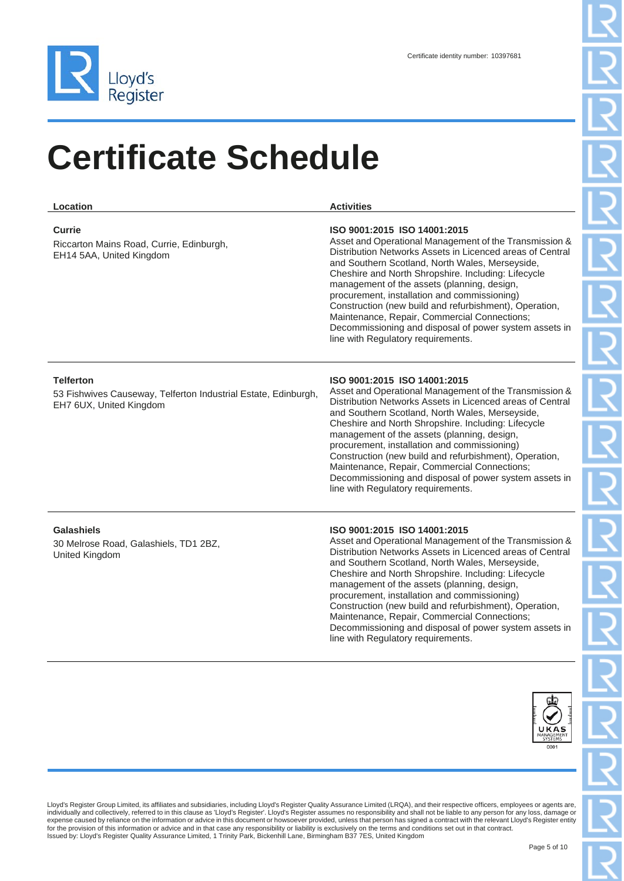

| Location                                                                                                      | <b>Activities</b>                                                                                                                                                                                                                                                                                                                                                                                                                                                                                                                                                      |
|---------------------------------------------------------------------------------------------------------------|------------------------------------------------------------------------------------------------------------------------------------------------------------------------------------------------------------------------------------------------------------------------------------------------------------------------------------------------------------------------------------------------------------------------------------------------------------------------------------------------------------------------------------------------------------------------|
| <b>Currie</b><br>Riccarton Mains Road, Currie, Edinburgh,<br>EH14 5AA, United Kingdom                         | ISO 9001:2015 ISO 14001:2015<br>Asset and Operational Management of the Transmission &<br>Distribution Networks Assets in Licenced areas of Central<br>and Southern Scotland, North Wales, Merseyside,<br>Cheshire and North Shropshire. Including: Lifecycle<br>management of the assets (planning, design,<br>procurement, installation and commissioning)<br>Construction (new build and refurbishment), Operation,<br>Maintenance, Repair, Commercial Connections;<br>Decommissioning and disposal of power system assets in<br>line with Regulatory requirements. |
| <b>Telferton</b><br>53 Fishwives Causeway, Telferton Industrial Estate, Edinburgh,<br>EH7 6UX, United Kingdom | ISO 9001:2015 ISO 14001:2015<br>Asset and Operational Management of the Transmission &<br>Distribution Networks Assets in Licenced areas of Central<br>and Southern Scotland, North Wales, Merseyside,<br>Cheshire and North Shropshire. Including: Lifecycle<br>management of the assets (planning, design,<br>procurement, installation and commissioning)<br>Construction (new build and refurbishment), Operation,<br>Maintenance, Repair, Commercial Connections;<br>Decommissioning and disposal of power system assets in<br>line with Regulatory requirements. |
| <b>Galashiels</b><br>30 Melrose Road, Galashiels, TD1 2BZ,<br>United Kingdom                                  | ISO 9001:2015 ISO 14001:2015<br>Asset and Operational Management of the Transmission &<br>Distribution Networks Assets in Licenced areas of Central<br>and Southern Scotland, North Wales, Merseyside,<br>Cheshire and North Shropshire. Including: Lifecycle<br>management of the assets (planning, design,                                                                                                                                                                                                                                                           |

procurement, installation and commissioning) Construction (new build and refurbishment), Operation, Maintenance, Repair, Commercial Connections; Decommissioning and disposal of power system assets in line with Regulatory requirements.

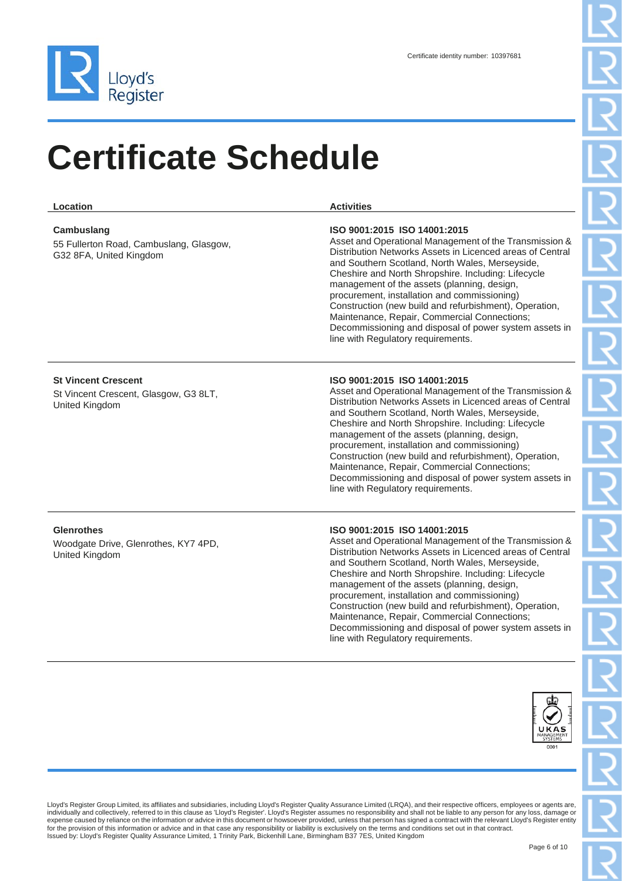

| Location                                                                              | <b>Activities</b>                                                                                                                                                                                                                                                                                                                                                                                                                                                                                                                                                      |
|---------------------------------------------------------------------------------------|------------------------------------------------------------------------------------------------------------------------------------------------------------------------------------------------------------------------------------------------------------------------------------------------------------------------------------------------------------------------------------------------------------------------------------------------------------------------------------------------------------------------------------------------------------------------|
| Cambuslang<br>55 Fullerton Road, Cambuslang, Glasgow,<br>G32 8FA, United Kingdom      | ISO 9001:2015 ISO 14001:2015<br>Asset and Operational Management of the Transmission &<br>Distribution Networks Assets in Licenced areas of Central<br>and Southern Scotland, North Wales, Merseyside,<br>Cheshire and North Shropshire. Including: Lifecycle<br>management of the assets (planning, design,<br>procurement, installation and commissioning)<br>Construction (new build and refurbishment), Operation,<br>Maintenance, Repair, Commercial Connections;<br>Decommissioning and disposal of power system assets in<br>line with Regulatory requirements. |
| <b>St Vincent Crescent</b><br>St Vincent Crescent, Glasgow, G3 8LT,<br>United Kingdom | ISO 9001:2015 ISO 14001:2015<br>Asset and Operational Management of the Transmission &<br>Distribution Networks Assets in Licenced areas of Central<br>and Southern Scotland, North Wales, Merseyside,<br>Cheshire and North Shropshire. Including: Lifecycle<br>management of the assets (planning, design,<br>procurement, installation and commissioning)<br>Construction (new build and refurbishment), Operation,<br>Maintenance, Repair, Commercial Connections;<br>Decommissioning and disposal of power system assets in<br>line with Regulatory requirements. |
| <b>Glenrothes</b><br>Woodgate Drive, Glenrothes, KY7 4PD,<br>United Kingdom           | ISO 9001:2015 ISO 14001:2015<br>Asset and Operational Management of the Transmission &<br>Distribution Networks Assets in Licenced areas of Central<br>and Southern Scotland, North Wales, Merseyside,<br>Cheshire and North Shropshire. Including: Lifecycle                                                                                                                                                                                                                                                                                                          |

management of the assets (planning, design, procurement, installation and commissioning) Construction (new build and refurbishment), Operation, Maintenance, Repair, Commercial Connections; Decommissioning and disposal of power system assets in line with Regulatory requirements.

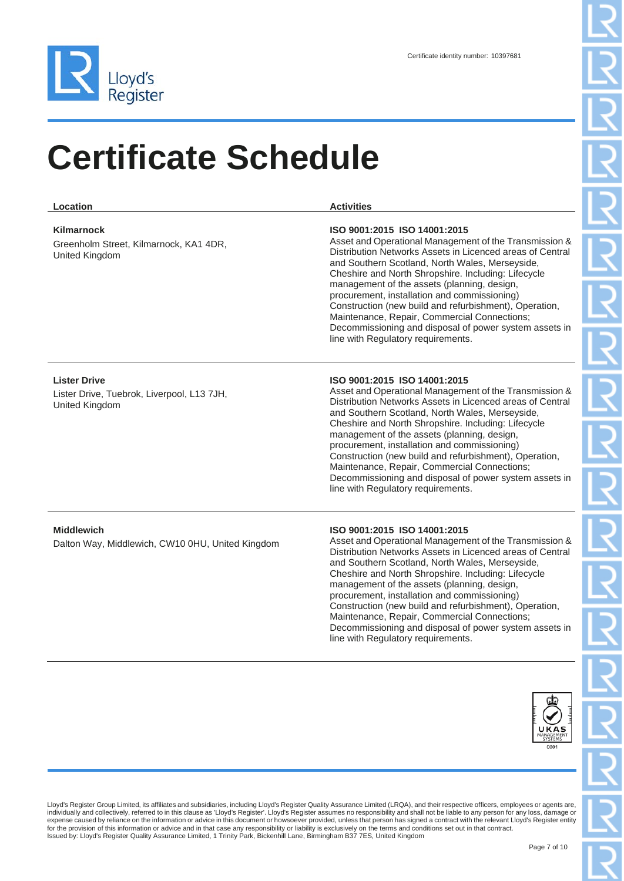

| Location                                                                            | <b>Activities</b>                                                                                                                                                                                                                                                                                                                                                                                                                                                                                                                                                      |
|-------------------------------------------------------------------------------------|------------------------------------------------------------------------------------------------------------------------------------------------------------------------------------------------------------------------------------------------------------------------------------------------------------------------------------------------------------------------------------------------------------------------------------------------------------------------------------------------------------------------------------------------------------------------|
| Kilmarnock<br>Greenholm Street, Kilmarnock, KA1 4DR,<br>United Kingdom              | ISO 9001:2015 ISO 14001:2015<br>Asset and Operational Management of the Transmission &<br>Distribution Networks Assets in Licenced areas of Central<br>and Southern Scotland, North Wales, Merseyside,<br>Cheshire and North Shropshire. Including: Lifecycle<br>management of the assets (planning, design,<br>procurement, installation and commissioning)<br>Construction (new build and refurbishment), Operation,<br>Maintenance, Repair, Commercial Connections;<br>Decommissioning and disposal of power system assets in<br>line with Regulatory requirements. |
| <b>Lister Drive</b><br>Lister Drive, Tuebrok, Liverpool, L13 7JH,<br>United Kingdom | ISO 9001:2015 ISO 14001:2015<br>Asset and Operational Management of the Transmission &<br>Distribution Networks Assets in Licenced areas of Central<br>and Southern Scotland, North Wales, Merseyside,<br>Cheshire and North Shropshire. Including: Lifecycle<br>management of the assets (planning, design,<br>procurement, installation and commissioning)<br>Construction (new build and refurbishment), Operation,<br>Maintenance, Repair, Commercial Connections;<br>Decommissioning and disposal of power system assets in<br>line with Regulatory requirements. |
| <b>Middlewich</b><br>Dalton Way, Middlewich, CW10 0HU, United Kingdom               | ISO 9001:2015 ISO 14001:2015<br>Asset and Operational Management of the Transmission &<br>Distribution Networks Assets in Licenced areas of Central<br>and Southern Scotland, North Wales, Merseyside,<br>Cheshire and North Shropshire. Including: Lifecycle<br>management of the assets (planning, design,<br>procurement, installation and commissioning)<br>Construction (new build and refurbishment), Operation,<br>Maintenance, Repair, Commercial Connections;<br>Decommissioning and disposal of power system assets in                                       |



Lloyd's Register Group Limited, its affiliates and subsidiaries, including Lloyd's Register Quality Assurance Limited (LRQA), and their respective officers, employees or agents are, individually and collectively, referred to in this clause as 'Lloyd's Register'. Lloyd's Register assumes no responsibility and shall not be liable to any person for any loss, damage or<br>expense caused by reliance on the in

line with Regulatory requirements.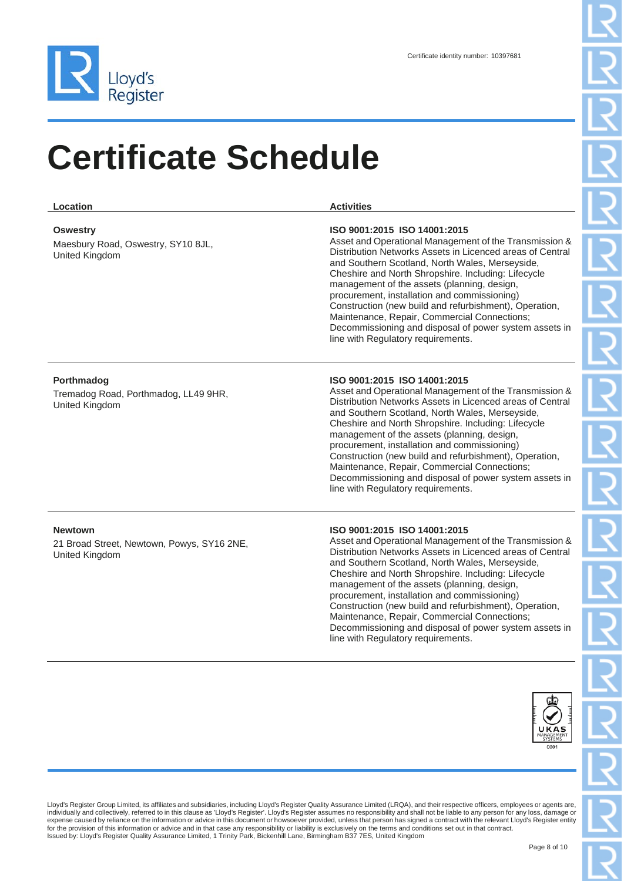

| Location                                                                       | <b>Activities</b>                                                                                                                                                                                                                                                                                                                                                                                                                                                                                                                                                      |
|--------------------------------------------------------------------------------|------------------------------------------------------------------------------------------------------------------------------------------------------------------------------------------------------------------------------------------------------------------------------------------------------------------------------------------------------------------------------------------------------------------------------------------------------------------------------------------------------------------------------------------------------------------------|
| <b>Oswestry</b><br>Maesbury Road, Oswestry, SY10 8JL,<br>United Kingdom        | ISO 9001:2015 ISO 14001:2015<br>Asset and Operational Management of the Transmission &<br>Distribution Networks Assets in Licenced areas of Central<br>and Southern Scotland, North Wales, Merseyside,<br>Cheshire and North Shropshire. Including: Lifecycle<br>management of the assets (planning, design,<br>procurement, installation and commissioning)<br>Construction (new build and refurbishment), Operation,<br>Maintenance, Repair, Commercial Connections;<br>Decommissioning and disposal of power system assets in<br>line with Regulatory requirements. |
| Porthmadog<br>Tremadog Road, Porthmadog, LL49 9HR,<br>United Kingdom           | ISO 9001:2015 ISO 14001:2015<br>Asset and Operational Management of the Transmission &<br>Distribution Networks Assets in Licenced areas of Central<br>and Southern Scotland, North Wales, Merseyside,<br>Cheshire and North Shropshire. Including: Lifecycle<br>management of the assets (planning, design,<br>procurement, installation and commissioning)<br>Construction (new build and refurbishment), Operation,<br>Maintenance, Repair, Commercial Connections;<br>Decommissioning and disposal of power system assets in<br>line with Regulatory requirements. |
| <b>Newtown</b><br>21 Broad Street, Newtown, Powys, SY16 2NE,<br>United Kingdom | ISO 9001:2015 ISO 14001:2015<br>Asset and Operational Management of the Transmission &<br>Distribution Networks Assets in Licenced areas of Central<br>and Southern Scotland, North Wales, Merseyside,<br>Cheshire and North Shropshire. Including: Lifecycle<br>management of the assets (planning, design,                                                                                                                                                                                                                                                           |

procurement, installation and commissioning) Construction (new build and refurbishment), Operation, Maintenance, Repair, Commercial Connections; Decommissioning and disposal of power system assets in line with Regulatory requirements.

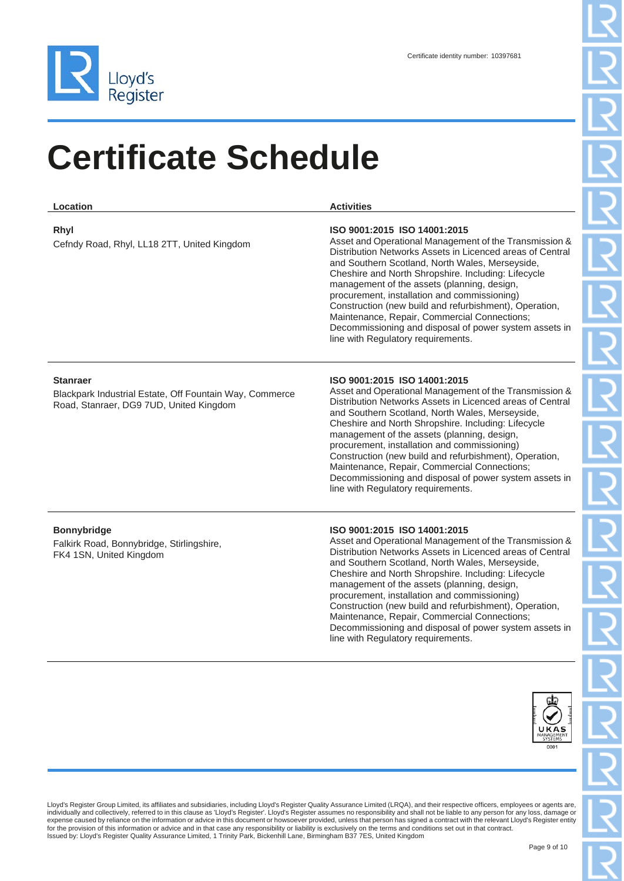

| Location                                                                                                              | <b>Activities</b>                                                                                                                                                                                                                                                                                                                                                                                                                                                                                                                                                      |
|-----------------------------------------------------------------------------------------------------------------------|------------------------------------------------------------------------------------------------------------------------------------------------------------------------------------------------------------------------------------------------------------------------------------------------------------------------------------------------------------------------------------------------------------------------------------------------------------------------------------------------------------------------------------------------------------------------|
| Rhyl<br>Cefndy Road, Rhyl, LL18 2TT, United Kingdom                                                                   | ISO 9001:2015 ISO 14001:2015<br>Asset and Operational Management of the Transmission &<br>Distribution Networks Assets in Licenced areas of Central<br>and Southern Scotland, North Wales, Merseyside,<br>Cheshire and North Shropshire. Including: Lifecycle<br>management of the assets (planning, design,<br>procurement, installation and commissioning)<br>Construction (new build and refurbishment), Operation,<br>Maintenance, Repair, Commercial Connections;<br>Decommissioning and disposal of power system assets in<br>line with Regulatory requirements. |
| <b>Stanraer</b><br>Blackpark Industrial Estate, Off Fountain Way, Commerce<br>Road, Stanraer, DG9 7UD, United Kingdom | ISO 9001:2015 ISO 14001:2015<br>Asset and Operational Management of the Transmission &<br>Distribution Networks Assets in Licenced areas of Central<br>and Southern Scotland, North Wales, Merseyside,<br>Cheshire and North Shropshire. Including: Lifecycle<br>management of the assets (planning, design,<br>procurement, installation and commissioning)<br>Construction (new build and refurbishment), Operation,<br>Maintenance, Repair, Commercial Connections;<br>Decommissioning and disposal of power system assets in<br>line with Regulatory requirements. |
| <b>Bonnybridge</b><br>Falkirk Road, Bonnybridge, Stirlingshire,<br>FK4 1SN, United Kingdom                            | ISO 9001:2015 ISO 14001:2015<br>Asset and Operational Management of the Transmission &<br>Distribution Networks Assets in Licenced areas of Central<br>and Southern Scotland, North Wales, Merseyside,<br>Cheshire and North Shropshire. Including: Lifecycle<br>management of the assets (planning, design,<br>procurement, installation and commissioning)<br>Construction (new build and refurbishment), Operation,                                                                                                                                                 |

Maintenance, Repair, Commercial Connections; Decommissioning and disposal of power system assets in line with Regulatory requirements.